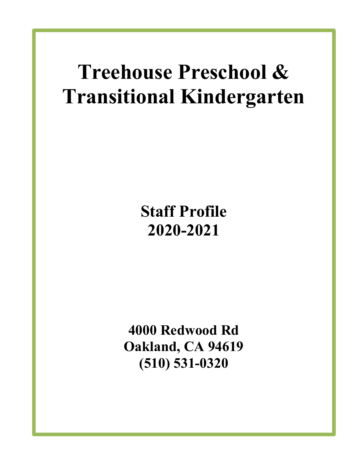# Treehouse Preschool & Transitional Kindergarten

## Staff Profile 2020-2021

4000 Redwood Rd Oakland, CA 94619 (510) 531-0320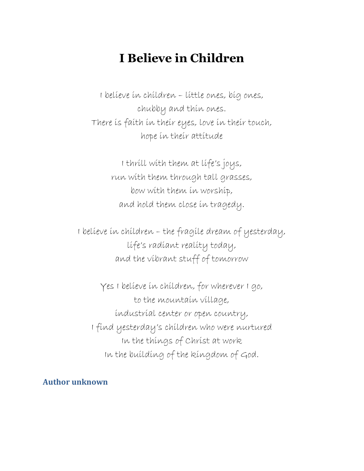### I Believe in Children

I believe in children – little ones, big ones, chubby and thin ones. There is faith in their eyes, love in their touch, hope in their attitude

> I thrill with them at life's joys, run with them through tall grasses, bow with them in worship, and hold them close in tragedy.

I believe in children – the fragile dream of yesterday, life's radiant reality today, and the vibrant stuff of tomorrow

Yes I believe in children, for wherever I go, to the mountain village, industrial center or open country, I find yesterday's children who were nurtured In the things of Christ at work In the building of the kingdom of God.

Author unknown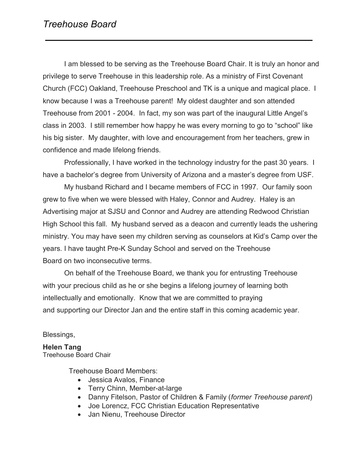#### Treehouse Board

I am blessed to be serving as the Treehouse Board Chair. It is truly an honor and privilege to serve Treehouse in this leadership role. As a ministry of First Covenant Church (FCC) Oakland, Treehouse Preschool and TK is a unique and magical place. I know because I was a Treehouse parent! My oldest daughter and son attended Treehouse from 2001 - 2004. In fact, my son was part of the inaugural Little Angel's class in 2003. I still remember how happy he was every morning to go to "school" like his big sister. My daughter, with love and encouragement from her teachers, grew in confidence and made lifelong friends.

Professionally, I have worked in the technology industry for the past 30 years. I have a bachelor's degree from University of Arizona and a master's degree from USF.

My husband Richard and I became members of FCC in 1997. Our family soon grew to five when we were blessed with Haley, Connor and Audrey. Haley is an Advertising major at SJSU and Connor and Audrey are attending Redwood Christian High School this fall. My husband served as a deacon and currently leads the ushering ministry. You may have seen my children serving as counselors at Kid's Camp over the years. I have taught Pre-K Sunday School and served on the Treehouse Board on two inconsecutive terms.

On behalf of the Treehouse Board, we thank you for entrusting Treehouse with your precious child as he or she begins a lifelong journey of learning both intellectually and emotionally. Know that we are committed to praying and supporting our Director Jan and the entire staff in this coming academic year.

#### Blessings,

Helen Tang Treehouse Board Chair

Treehouse Board Members:

- Jessica Avalos, Finance
- Terry Chinn, Member-at-large
- Danny Fitelson, Pastor of Children & Family (former Treehouse parent)
- Joe Lorencz, FCC Christian Education Representative
- Jan Nienu, Treehouse Director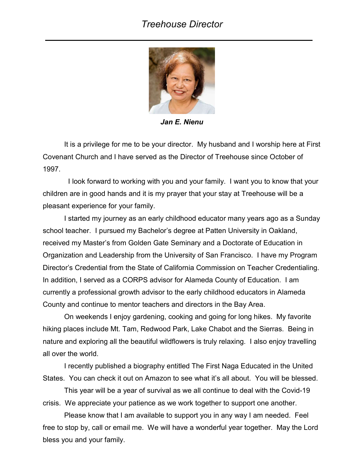#### Treehouse Director



Jan E. Nienu

It is a privilege for me to be your director. My husband and I worship here at First Covenant Church and I have served as the Director of Treehouse since October of 1997.

 I look forward to working with you and your family. I want you to know that your children are in good hands and it is my prayer that your stay at Treehouse will be a pleasant experience for your family.

I started my journey as an early childhood educator many years ago as a Sunday school teacher. I pursued my Bachelor's degree at Patten University in Oakland, received my Master's from Golden Gate Seminary and a Doctorate of Education in Organization and Leadership from the University of San Francisco. I have my Program Director's Credential from the State of California Commission on Teacher Credentialing. In addition, I served as a CORPS advisor for Alameda County of Education. I am currently a professional growth advisor to the early childhood educators in Alameda County and continue to mentor teachers and directors in the Bay Area.

On weekends I enjoy gardening, cooking and going for long hikes. My favorite hiking places include Mt. Tam, Redwood Park, Lake Chabot and the Sierras. Being in nature and exploring all the beautiful wildflowers is truly relaxing. I also enjoy travelling all over the world.

I recently published a biography entitled The First Naga Educated in the United States. You can check it out on Amazon to see what it's all about. You will be blessed.

This year will be a year of survival as we all continue to deal with the Covid-19 crisis. We appreciate your patience as we work together to support one another.

Please know that I am available to support you in any way I am needed. Feel free to stop by, call or email me. We will have a wonderful year together. May the Lord bless you and your family.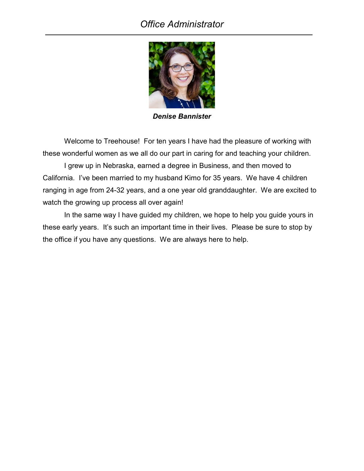#### Office Administrator



Denise Bannister

Welcome to Treehouse! For ten years I have had the pleasure of working with these wonderful women as we all do our part in caring for and teaching your children.

I grew up in Nebraska, earned a degree in Business, and then moved to California. I've been married to my husband Kimo for 35 years. We have 4 children ranging in age from 24-32 years, and a one year old granddaughter. We are excited to watch the growing up process all over again!

In the same way I have guided my children, we hope to help you guide yours in these early years. It's such an important time in their lives. Please be sure to stop by the office if you have any questions. We are always here to help.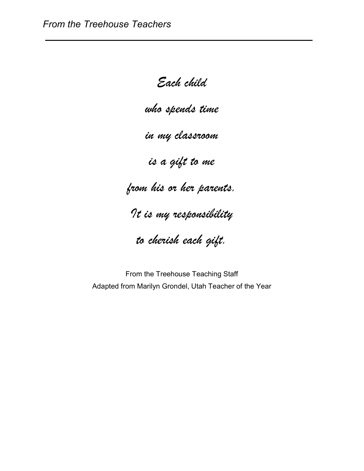Each child

who spends time

in my classroom

is a gift to me

from his or her parents.

It is my responsibility

to cherish each gift.

From the Treehouse Teaching Staff Adapted from Marilyn Grondel, Utah Teacher of the Year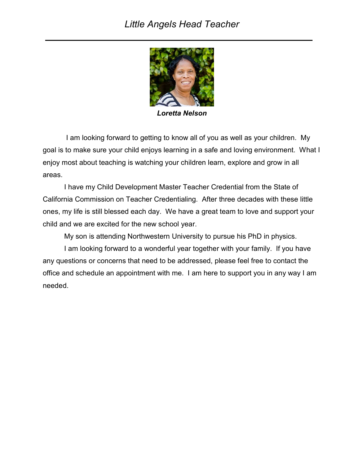#### Little Angels Head Teacher



Loretta Nelson

 I am looking forward to getting to know all of you as well as your children. My goal is to make sure your child enjoys learning in a safe and loving environment. What I enjoy most about teaching is watching your children learn, explore and grow in all areas.

I have my Child Development Master Teacher Credential from the State of California Commission on Teacher Credentialing. After three decades with these little ones, my life is still blessed each day. We have a great team to love and support your child and we are excited for the new school year.

My son is attending Northwestern University to pursue his PhD in physics.

I am looking forward to a wonderful year together with your family. If you have any questions or concerns that need to be addressed, please feel free to contact the office and schedule an appointment with me. I am here to support you in any way I am needed.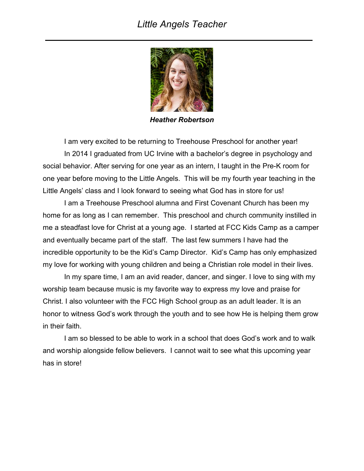#### Little Angels Teacher



Heather Robertson

I am very excited to be returning to Treehouse Preschool for another year! In 2014 I graduated from UC Irvine with a bachelor's degree in psychology and social behavior. After serving for one year as an intern, I taught in the Pre-K room for one year before moving to the Little Angels. This will be my fourth year teaching in the Little Angels' class and I look forward to seeing what God has in store for us!

I am a Treehouse Preschool alumna and First Covenant Church has been my home for as long as I can remember. This preschool and church community instilled in me a steadfast love for Christ at a young age. I started at FCC Kids Camp as a camper and eventually became part of the staff. The last few summers I have had the incredible opportunity to be the Kid's Camp Director. Kid's Camp has only emphasized my love for working with young children and being a Christian role model in their lives.

 In my spare time, I am an avid reader, dancer, and singer. I love to sing with my worship team because music is my favorite way to express my love and praise for Christ. I also volunteer with the FCC High School group as an adult leader. It is an honor to witness God's work through the youth and to see how He is helping them grow in their faith.

 I am so blessed to be able to work in a school that does God's work and to walk and worship alongside fellow believers. I cannot wait to see what this upcoming year has in store!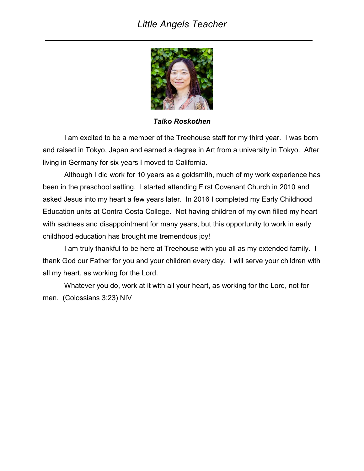#### Little Angels Teacher



Taiko Roskothen

I am excited to be a member of the Treehouse staff for my third year. I was born and raised in Tokyo, Japan and earned a degree in Art from a university in Tokyo. After living in Germany for six years I moved to California.

 Although I did work for 10 years as a goldsmith, much of my work experience has been in the preschool setting. I started attending First Covenant Church in 2010 and asked Jesus into my heart a few years later. In 2016 I completed my Early Childhood Education units at Contra Costa College. Not having children of my own filled my heart with sadness and disappointment for many years, but this opportunity to work in early childhood education has brought me tremendous joy!

 I am truly thankful to be here at Treehouse with you all as my extended family. I thank God our Father for you and your children every day. I will serve your children with all my heart, as working for the Lord.

 Whatever you do, work at it with all your heart, as working for the Lord, not for men. (Colossians 3:23) NIV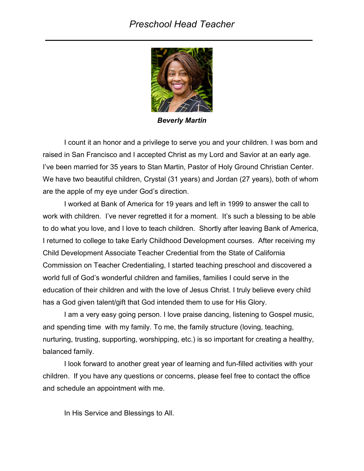#### Preschool Head Teacher



Beverly Martin

I count it an honor and a privilege to serve you and your children. I was born and raised in San Francisco and I accepted Christ as my Lord and Savior at an early age. I've been married for 35 years to Stan Martin, Pastor of Holy Ground Christian Center. We have two beautiful children, Crystal (31 years) and Jordan (27 years), both of whom are the apple of my eye under God's direction.

I worked at Bank of America for 19 years and left in 1999 to answer the call to work with children. I've never regretted it for a moment. It's such a blessing to be able to do what you love, and I love to teach children. Shortly after leaving Bank of America, I returned to college to take Early Childhood Development courses. After receiving my Child Development Associate Teacher Credential from the State of California Commission on Teacher Credentialing, I started teaching preschool and discovered a world full of God's wonderful children and families, families I could serve in the education of their children and with the love of Jesus Christ. I truly believe every child has a God given talent/gift that God intended them to use for His Glory.

I am a very easy going person. I love praise dancing, listening to Gospel music, and spending time with my family. To me, the family structure (loving, teaching, nurturing, trusting, supporting, worshipping, etc.) is so important for creating a healthy, balanced family.

I look forward to another great year of learning and fun-filled activities with your children. If you have any questions or concerns, please feel free to contact the office and schedule an appointment with me.

In His Service and Blessings to All.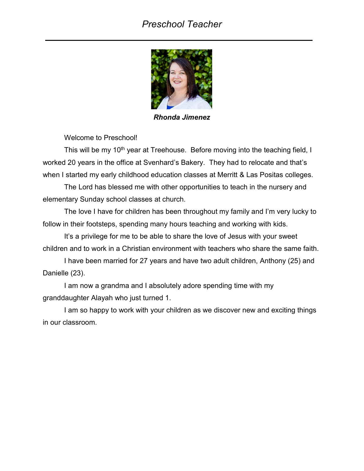#### Preschool Teacher



Rhonda Jimenez

Welcome to Preschool!

This will be my 10<sup>th</sup> year at Treehouse. Before moving into the teaching field, I worked 20 years in the office at Svenhard's Bakery. They had to relocate and that's when I started my early childhood education classes at Merritt & Las Positas colleges.

The Lord has blessed me with other opportunities to teach in the nursery and elementary Sunday school classes at church.

The love I have for children has been throughout my family and I'm very lucky to follow in their footsteps, spending many hours teaching and working with kids.

It's a privilege for me to be able to share the love of Jesus with your sweet children and to work in a Christian environment with teachers who share the same faith.

I have been married for 27 years and have two adult children, Anthony (25) and Danielle (23).

I am now a grandma and I absolutely adore spending time with my granddaughter Alayah who just turned 1.

I am so happy to work with your children as we discover new and exciting things in our classroom.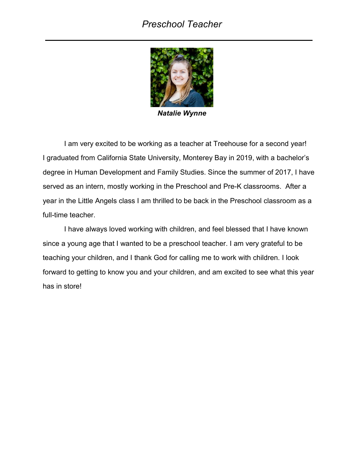#### Preschool Teacher



Natalie Wynne

I am very excited to be working as a teacher at Treehouse for a second year! I graduated from California State University, Monterey Bay in 2019, with a bachelor's degree in Human Development and Family Studies. Since the summer of 2017, I have served as an intern, mostly working in the Preschool and Pre-K classrooms. After a year in the Little Angels class I am thrilled to be back in the Preschool classroom as a full-time teacher.

I have always loved working with children, and feel blessed that I have known since a young age that I wanted to be a preschool teacher. I am very grateful to be teaching your children, and I thank God for calling me to work with children. I look forward to getting to know you and your children, and am excited to see what this year has in store!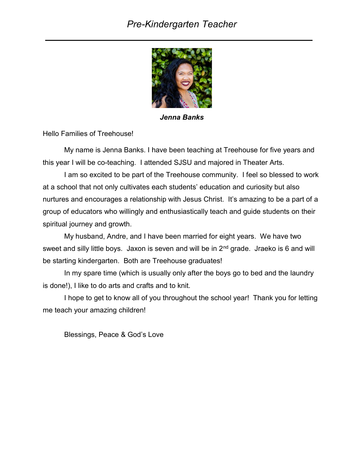#### Pre-Kindergarten Teacher



Jenna Banks

Hello Families of Treehouse!

My name is Jenna Banks. I have been teaching at Treehouse for five years and this year I will be co-teaching. I attended SJSU and majored in Theater Arts.

I am so excited to be part of the Treehouse community. I feel so blessed to work at a school that not only cultivates each students' education and curiosity but also nurtures and encourages a relationship with Jesus Christ. It's amazing to be a part of a group of educators who willingly and enthusiastically teach and guide students on their spiritual journey and growth.

 My husband, Andre, and I have been married for eight years. We have two sweet and silly little boys. Jaxon is seven and will be in 2<sup>nd</sup> grade. Jraeko is 6 and will be starting kindergarten. Both are Treehouse graduates!

 In my spare time (which is usually only after the boys go to bed and the laundry is done!), I like to do arts and crafts and to knit.

 I hope to get to know all of you throughout the school year! Thank you for letting me teach your amazing children!

Blessings, Peace & God's Love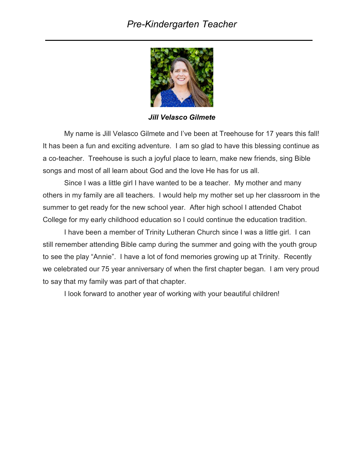#### Pre-Kindergarten Teacher



Jill Velasco Gilmete

My name is Jill Velasco Gilmete and I've been at Treehouse for 17 years this fall! It has been a fun and exciting adventure. I am so glad to have this blessing continue as a co-teacher. Treehouse is such a joyful place to learn, make new friends, sing Bible songs and most of all learn about God and the love He has for us all.

 Since I was a little girl I have wanted to be a teacher. My mother and many others in my family are all teachers. I would help my mother set up her classroom in the summer to get ready for the new school year. After high school I attended Chabot College for my early childhood education so I could continue the education tradition.

 I have been a member of Trinity Lutheran Church since I was a little girl. I can still remember attending Bible camp during the summer and going with the youth group to see the play "Annie". I have a lot of fond memories growing up at Trinity. Recently we celebrated our 75 year anniversary of when the first chapter began. I am very proud to say that my family was part of that chapter.

I look forward to another year of working with your beautiful children!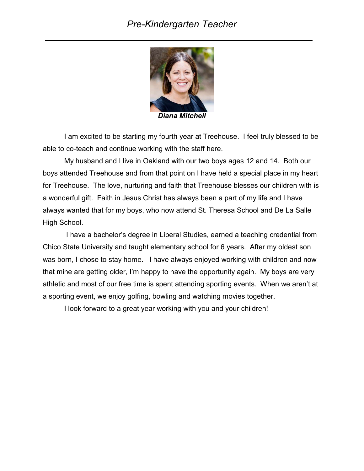#### Pre-Kindergarten Teacher



Diana Mitchell

I am excited to be starting my fourth year at Treehouse. I feel truly blessed to be able to co-teach and continue working with the staff here.

 My husband and I live in Oakland with our two boys ages 12 and 14. Both our boys attended Treehouse and from that point on I have held a special place in my heart for Treehouse. The love, nurturing and faith that Treehouse blesses our children with is a wonderful gift. Faith in Jesus Christ has always been a part of my life and I have always wanted that for my boys, who now attend St. Theresa School and De La Salle High School.

 I have a bachelor's degree in Liberal Studies, earned a teaching credential from Chico State University and taught elementary school for 6 years. After my oldest son was born, I chose to stay home. I have always enjoyed working with children and now that mine are getting older, I'm happy to have the opportunity again. My boys are very athletic and most of our free time is spent attending sporting events. When we aren't at a sporting event, we enjoy golfing, bowling and watching movies together.

I look forward to a great year working with you and your children!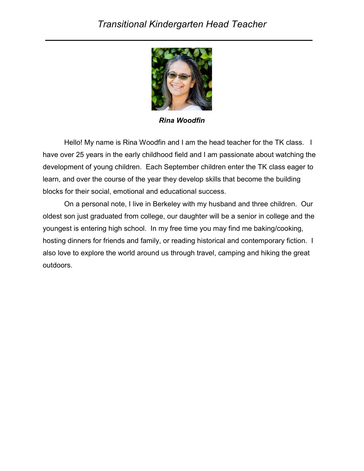

Rina Woodfin

Hello! My name is Rina Woodfin and I am the head teacher for the TK class. I have over 25 years in the early childhood field and I am passionate about watching the development of young children. Each September children enter the TK class eager to learn, and over the course of the year they develop skills that become the building blocks for their social, emotional and educational success.

On a personal note, I live in Berkeley with my husband and three children. Our oldest son just graduated from college, our daughter will be a senior in college and the youngest is entering high school. In my free time you may find me baking/cooking, hosting dinners for friends and family, or reading historical and contemporary fiction. I also love to explore the world around us through travel, camping and hiking the great outdoors.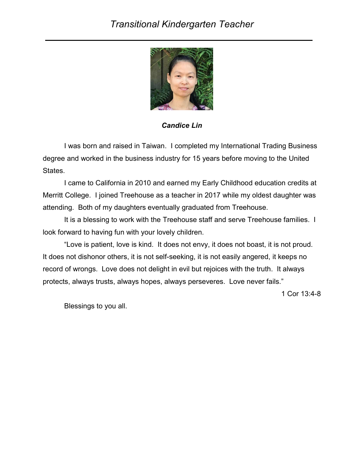

Candice Lin

 I was born and raised in Taiwan. I completed my International Trading Business degree and worked in the business industry for 15 years before moving to the United States.

 I came to California in 2010 and earned my Early Childhood education credits at Merritt College. I joined Treehouse as a teacher in 2017 while my oldest daughter was attending. Both of my daughters eventually graduated from Treehouse.

 It is a blessing to work with the Treehouse staff and serve Treehouse families. I look forward to having fun with your lovely children.

 "Love is patient, love is kind. It does not envy, it does not boast, it is not proud. It does not dishonor others, it is not self-seeking, it is not easily angered, it keeps no record of wrongs. Love does not delight in evil but rejoices with the truth. It always protects, always trusts, always hopes, always perseveres. Love never fails."

1 Cor 13:4-8

Blessings to you all.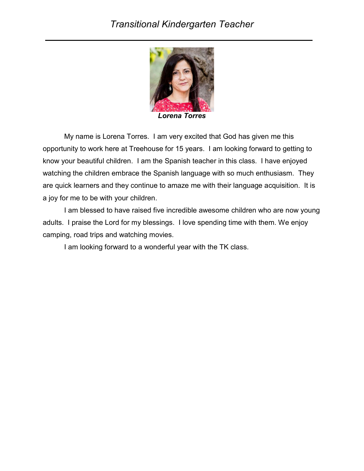#### Transitional Kindergarten Teacher



Lorena Torres

My name is Lorena Torres. I am very excited that God has given me this opportunity to work here at Treehouse for 15 years. I am looking forward to getting to know your beautiful children. I am the Spanish teacher in this class. I have enjoyed watching the children embrace the Spanish language with so much enthusiasm. They are quick learners and they continue to amaze me with their language acquisition. It is a joy for me to be with your children.

I am blessed to have raised five incredible awesome children who are now young adults. I praise the Lord for my blessings. I love spending time with them. We enjoy camping, road trips and watching movies.

I am looking forward to a wonderful year with the TK class.